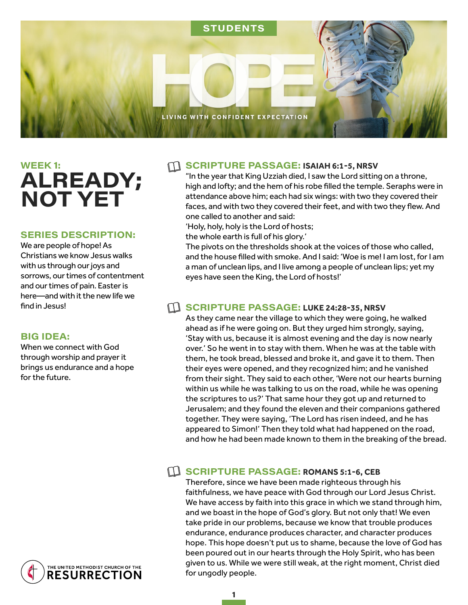

# $WEEK$  1: ALREADY; **NOT YET**

### **SERIES DESCRIPTION:**

We are people of hope! As Christians we know Jesus walks with us through our joys and sorrows, our times of contentment and our times of pain. Easter is here—and with it the new life we find in Jesus!

### **BIG IDEA:**

When we connect with God through worship and prayer it brings us endurance and a hope for the future.



"In the year that King Uzziah died, I saw the Lord sitting on a throne, high and lofty; and the hem of his robe filled the temple. Seraphs were in attendance above him; each had six wings: with two they covered their faces, and with two they covered their feet, and with two they flew. And one called to another and said:

'Holy, holy, holy is the Lord of hosts;

the whole earth is full of his glory.'

The pivots on the thresholds shook at the voices of those who called, and the house filled with smoke. And I said: 'Woe is me! I am lost, for I am a man of unclean lips, and I live among a people of unclean lips; yet my eyes have seen the King, the Lord of hosts!'

### $\Box$  **SCRIPTURE PASSAGE: LUKE 24:28-35, NRSV**

As they came near the village to which they were going, he walked ahead as if he were going on. But they urged him strongly, saying, 'Stay with us, because it is almost evening and the day is now nearly over.' So he went in to stay with them. When he was at the table with them, he took bread, blessed and broke it, and gave it to them. Then their eyes were opened, and they recognized him; and he vanished from their sight. They said to each other, 'Were not our hearts burning within us while he was talking to us on the road, while he was opening the scriptures to us?' That same hour they got up and returned to Jerusalem; and they found the eleven and their companions gathered together. They were saying, 'The Lord has risen indeed, and he has appeared to Simon!' Then they told what had happened on the road, and how he had been made known to them in the breaking of the bread.

### **SCRIPTURE PASSAGE: ROMANS 5:1-6, CEB**

Therefore, since we have been made righteous through his faithfulness, we have peace with God through our Lord Jesus Christ. We have access by faith into this grace in which we stand through him, and we boast in the hope of God's glory. But not only that! We even take pride in our problems, because we know that trouble produces endurance, endurance produces character, and character produces hope. This hope doesn't put us to shame, because the love of God has been poured out in our hearts through the Holy Spirit, who has been given to us. While we were still weak, at the right moment, Christ died for ungodly people.

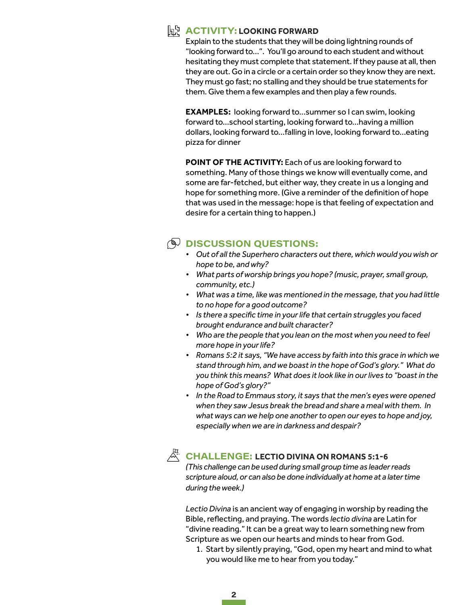### h **ACTIVITY: LOOKING FORWARD**

Explain to the students that they will be doing lightning rounds of "looking forward to…". You'll go around to each student and without hesitating they must complete that statement. If they pause at all, then they are out. Go in a circle or a certain order so they know they are next. They must go fast; no stalling and they should be true statements for them. Give them a few examples and then play a few rounds.

**EXAMPLES:** looking forward to…summer so I can swim, looking forward to…school starting, looking forward to…having a million dollars, looking forward to…falling in love, looking forward to…eating pizza for dinner

**POINT OF THE ACTIVITY:** Each of us are looking forward to something. Many of those things we know will eventually come, and some are far-fetched, but either way, they create in us a longing and hope for something more. (Give a reminder of the definition of hope that was used in the message: hope is that feeling of expectation and desire for a certain thing to happen.)

## $\Diamond$  DISCUSSION QUESTIONS:

- *• Out of all the Superhero characters out there, which would you wish or hope to be, and why?*
- *• What parts of worship brings you hope? (music, prayer, small group, community, etc.)*
- *• What was a time, like was mentioned in the message, that you had little to no hope for a good outcome?*
- *• Is there a specific time in yourlife that certain struggles you faced brought endurance and built character?*
- *• Who are the people that you lean on the most when you need to feel more hope in your life?*
- *• Romans 5:2 it says, "We have access by faith into this grace in which we stand through him, and we boast in the hope of God's glory." What do you think this means? What does it look like in our lives to "boast in the hope of God's glory?"*
- *• In the Road to Emmaus story, it says that the men's eyes were opened when they saw Jesus break the bread and share a meal with them. In what ways can we help one another to open our eyes to hope and joy, especially when we are in darkness and despair?*

### $\frac{100}{100}$  CHALLENGE: LECTIO DIVINA ON ROMANS 5:1-6

*(This challenge can be used during small group time as leader reads scripture aloud, or can also be done individually at home at a later time during the week.)*

*Lectio Divina* is an ancient way of engaging in worship by reading the Bible, reflecting, and praying. The words *lectio divina* are Latin for "divine reading." It can be a great way to learn something new from Scripture as we open our hearts and minds to hear from God.

1. Start by silently praying, "God, open my heart and mind to what you would like me to hear from you today."